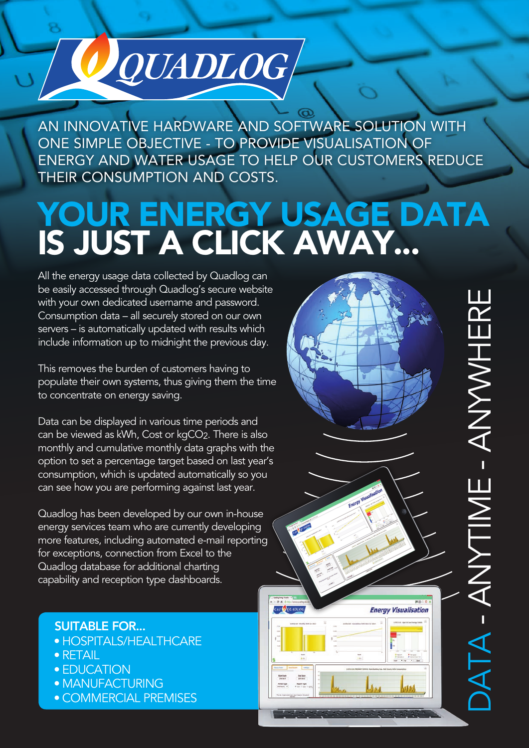## AN INNOVATIVE HARDWARE AND SOFTWARE SOLUTION WITH ONE SIMPLE OBJECTIVE - TO PROVIDE VISUALISATION OF ENERGY AND WATER USAGE TO HELP OUR CUSTOMERS REDUCE THEIR CONSUMPTION AND COSTS.

# YOUR ENERGY USAGE DATA IS JUST A CLICK AWAY...

All the energy usage data collected by Quadlog can be easily accessed through Quadlog's secure website with your own dedicated username and password. Consumption data – all securely stored on our own servers – is automatically updated with results which include information up to midnight the previous day.

O QUADLOG

This removes the burden of customers having to populate their own systems, thus giving them the time to concentrate on energy saving.

Data can be displayed in various time periods and can be viewed as kWh, Cost or kgCO2. There is also monthly and cumulative monthly data graphs with the option to set a percentage target based on last year's consumption, which is updated automatically so you can see how you are performing against last year.

Quadlog has been developed by our own in-house energy services team who are currently developing more features, including automated e-mail reporting for exceptions, connection from Excel to the Quadlog database for additional charting capability and reception type dashboards.

### SUITABLE FOR...

- HOSPITALS/HEALTHCARE
- RETAIL
- **EDUCATION**
- **MANUFACTURING**
- COMMERCIAL PREMISES



DATA  $\overline{\phantom{a}}$  ANYTIME  $\overline{\phantom{a}}$ ANYWHERE